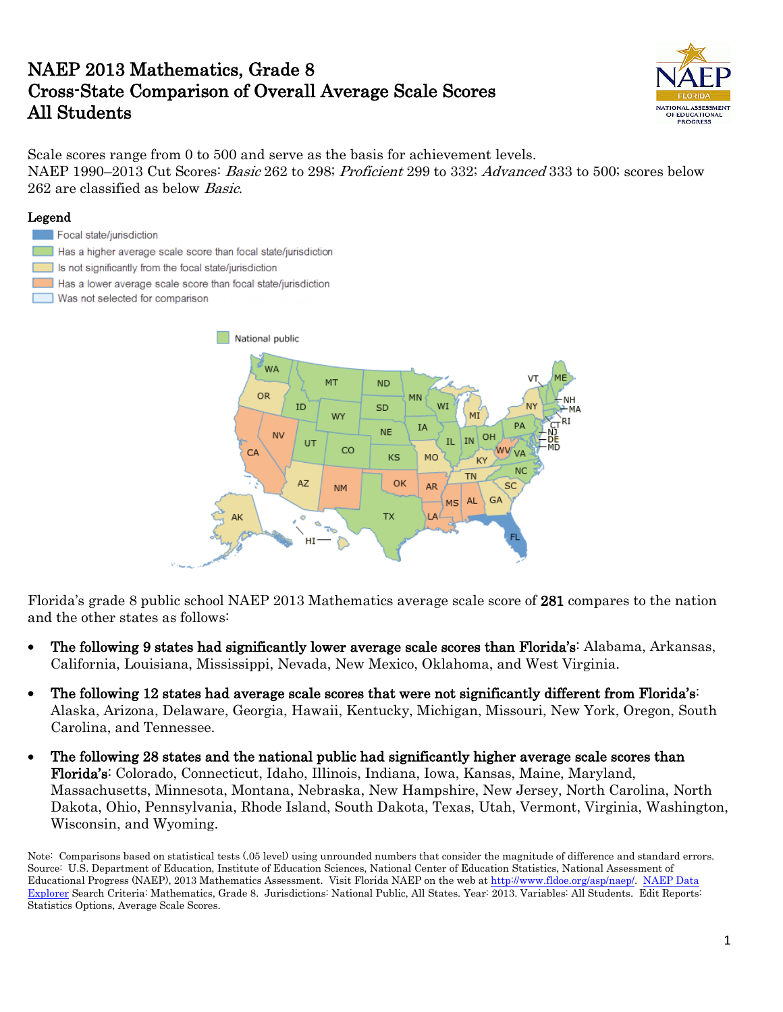# NAEP 2013 Mathematics, Grade 8 Cross-State Comparison of Overall Average Scale Scores All Students



Scale scores range from 0 to 500 and serve as the basis for achievement levels. NAEP 1990–2013 Cut Scores: *Basic* 262 to 298; *Proficient* 299 to 332; *Advanced* 333 to 500; scores below 262 are classified as below Basic.

#### Legend

#### Focal state/jurisdiction

- Has a higher average scale score than focal state/jurisdiction
- Is not significantly from the focal state/jurisdiction
- Has a lower average scale score than focal state/jurisdiction
- Was not selected for comparison



Florida's grade 8 public school NAEP 2013 Mathematics average scale score of 281 compares to the nation and the other states as follows:

- The following 9 states had significantly lower average scale scores than Florida's: Alabama, Arkansas, California, Louisiana, Mississippi, Nevada, New Mexico, Oklahoma, and West Virginia.
- The following 12 states had average scale scores that were not significantly different from Florida's: Alaska, Arizona, Delaware, Georgia, Hawaii, Kentucky, Michigan, Missouri, New York, Oregon, South Carolina, and Tennessee.
- The following 28 states and the national public had significantly higher average scale scores than Florida's: Colorado, Connecticut, Idaho, Illinois, Indiana, Iowa, Kansas, Maine, Maryland, Massachusetts, Minnesota, Montana, Nebraska, New Hampshire, New Jersey, North Carolina, North Dakota, Ohio, Pennsylvania, Rhode Island, South Dakota, Texas, Utah, Vermont, Virginia, Washington, Wisconsin, and Wyoming.

Note: Comparisons based on statistical tests (.05 level) using unrounded numbers that consider the magnitude of difference and standard errors. Source: U.S. Department of Education, Institute of Education Sciences, National Center of Education Statistics, National Assessment of Educational Progress (NAEP), 2013 Mathematics Assessment. Visit Florida NAEP on the web at [http://www.fldoe.org/asp/naep/.](http://www.fldoe.org/asp/naep/) [NAEP Data](http://nces.ed.gov/nationsreportcard/naepdata/)  [Explorer](http://nces.ed.gov/nationsreportcard/naepdata/) Search Criteria: Mathematics, Grade 8. Jurisdictions: National Public, All States. Year: 2013. Variables: All Students. Edit Reports: Statistics Options, Average Scale Scores.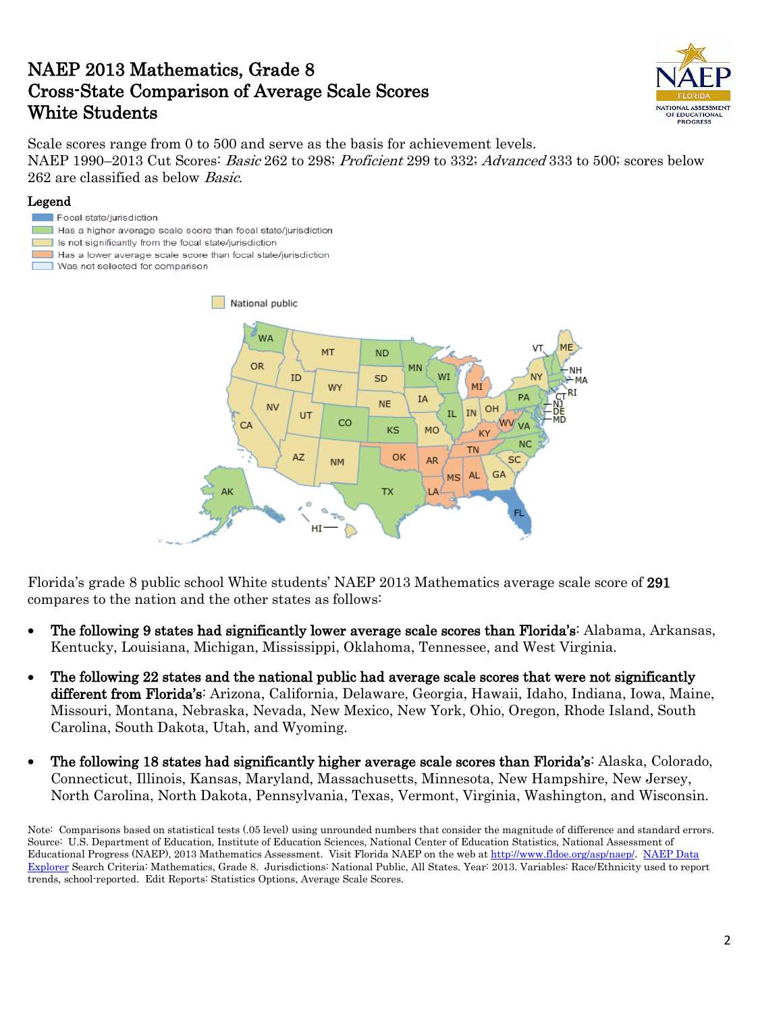# NAEP 2013 Mathematics, Grade 8 Cross-State Comparison of Average Scale Scores White Students



Scale scores range from 0 to 500 and serve as the basis for achievement levels. NAEP 1990–2013 Cut Scores: *Basic* 262 to 298; *Proficient* 299 to 332; *Advanced* 333 to 500; scores below 262 are classified as below Basic.

### Legend

- Focal state/jurisdiction
- Has a higher average scale score than focal state/jurisdiction
- Is not significantly from the focal state/jurisdiction
- Has a lower average scale score than focal state/jurisdiction
- Was not selected for comparison



Florida's grade 8 public school White students' NAEP 2013 Mathematics average scale score of 291 compares to the nation and the other states as follows:

- The following 9 states had significantly lower average scale scores than Florida's: Alabama, Arkansas, Kentucky, Louisiana, Michigan, Mississippi, Oklahoma, Tennessee, and West Virginia.
- The following 22 states and the national public had average scale scores that were not significantly different from Florida's: Arizona, California, Delaware, Georgia, Hawaii, Idaho, Indiana, Iowa, Maine, Missouri, Montana, Nebraska, Nevada, New Mexico, New York, Ohio, Oregon, Rhode Island, South Carolina, South Dakota, Utah, and Wyoming.
- The following 18 states had significantly higher average scale scores than Florida's: Alaska, Colorado, Connecticut, Illinois, Kansas, Maryland, Massachusetts, Minnesota, New Hampshire, New Jersey, North Carolina, North Dakota, Pennsylvania, Texas, Vermont, Virginia, Washington, and Wisconsin.

Note: Comparisons based on statistical tests (.05 level) using unrounded numbers that consider the magnitude of difference and standard errors. Source: U.S. Department of Education, Institute of Education Sciences, National Center of Education Statistics, National Assessment of Educational Progress (NAEP), 2013 Mathematics Assessment. Visit Florida NAEP on the web at [http://www.fldoe.org/asp/naep/.](http://www.fldoe.org/asp/naep/) [NAEP Data](http://nces.ed.gov/nationsreportcard/naepdata/)  [Explorer](http://nces.ed.gov/nationsreportcard/naepdata/) Search Criteria: Mathematics, Grade 8. Jurisdictions: National Public, All States. Year: 2013. Variables: Race/Ethnicity used to report trends, school-reported. Edit Reports: Statistics Options, Average Scale Scores.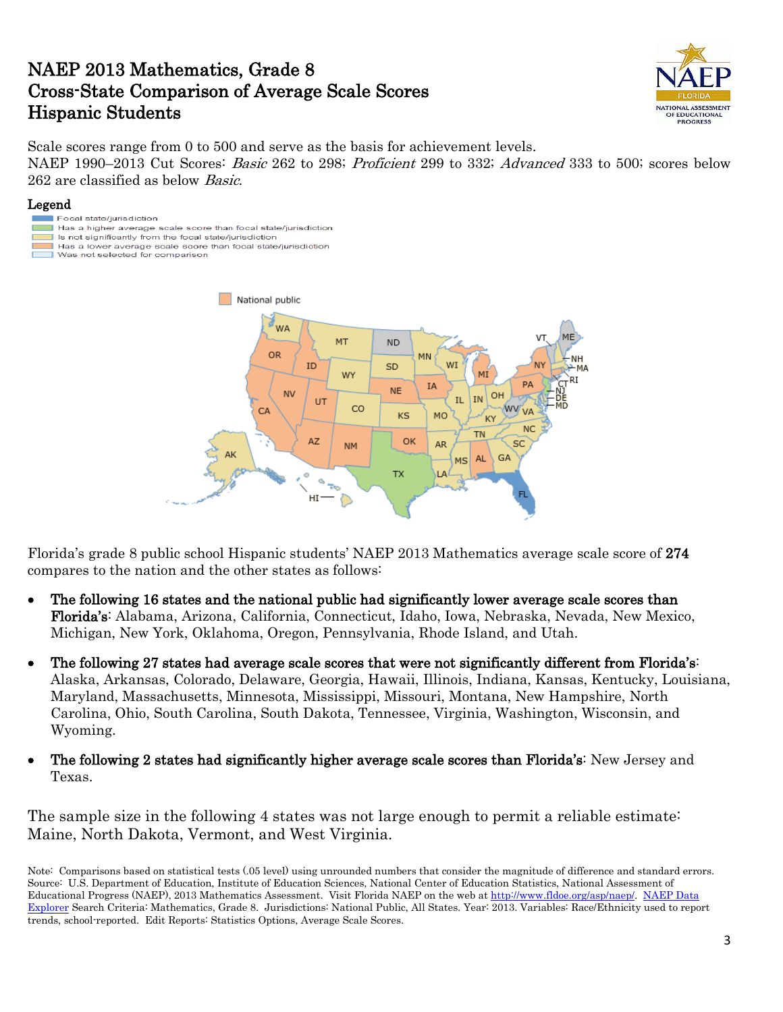### NAEP 2013 Mathematics, Grade 8 Cross-State Comparison of Average Scale Scores Hispanic Students



Scale scores range from 0 to 500 and serve as the basis for achievement levels. NAEP 1990–2013 Cut Scores: *Basic* 262 to 298; *Proficient* 299 to 332; *Advanced* 333 to 500; scores below 262 are classified as below Basic.

### Legend

- Focal state/jurisdiction Has a higher average scale score than focal state/jurisdiction
- Is not significantly from the focal state/jurisdiction Has a lower average scale score than focal state/jurisdiction
- Was not selected for comparison



Florida's grade 8 public school Hispanic students' NAEP 2013 Mathematics average scale score of 274 compares to the nation and the other states as follows:

- The following 16 states and the national public had significantly lower average scale scores than Florida's: Alabama, Arizona, California, Connecticut, Idaho, Iowa, Nebraska, Nevada, New Mexico, Michigan, New York, Oklahoma, Oregon, Pennsylvania, Rhode Island, and Utah.
- The following 27 states had average scale scores that were not significantly different from Florida's: Alaska, Arkansas, Colorado, Delaware, Georgia, Hawaii, Illinois, Indiana, Kansas, Kentucky, Louisiana, Maryland, Massachusetts, Minnesota, Mississippi, Missouri, Montana, New Hampshire, North Carolina, Ohio, South Carolina, South Dakota, Tennessee, Virginia, Washington, Wisconsin, and Wyoming.
- The following 2 states had significantly higher average scale scores than Florida's: New Jersey and Texas.

The sample size in the following 4 states was not large enough to permit a reliable estimate: Maine, North Dakota, Vermont, and West Virginia.

Note: Comparisons based on statistical tests (.05 level) using unrounded numbers that consider the magnitude of difference and standard errors. Source: U.S. Department of Education, Institute of Education Sciences, National Center of Education Statistics, National Assessment of Educational Progress (NAEP), 2013 Mathematics Assessment. Visit Florida NAEP on the web at [http://www.fldoe.org/asp/naep/.](http://www.fldoe.org/asp/naep/) [NAEP Data](http://nces.ed.gov/nationsreportcard/naepdata/)  [Explorer](http://nces.ed.gov/nationsreportcard/naepdata/) Search Criteria: Mathematics, Grade 8. Jurisdictions: National Public, All States. Year: 2013. Variables: Race/Ethnicity used to report trends, school-reported. Edit Reports: Statistics Options, Average Scale Scores.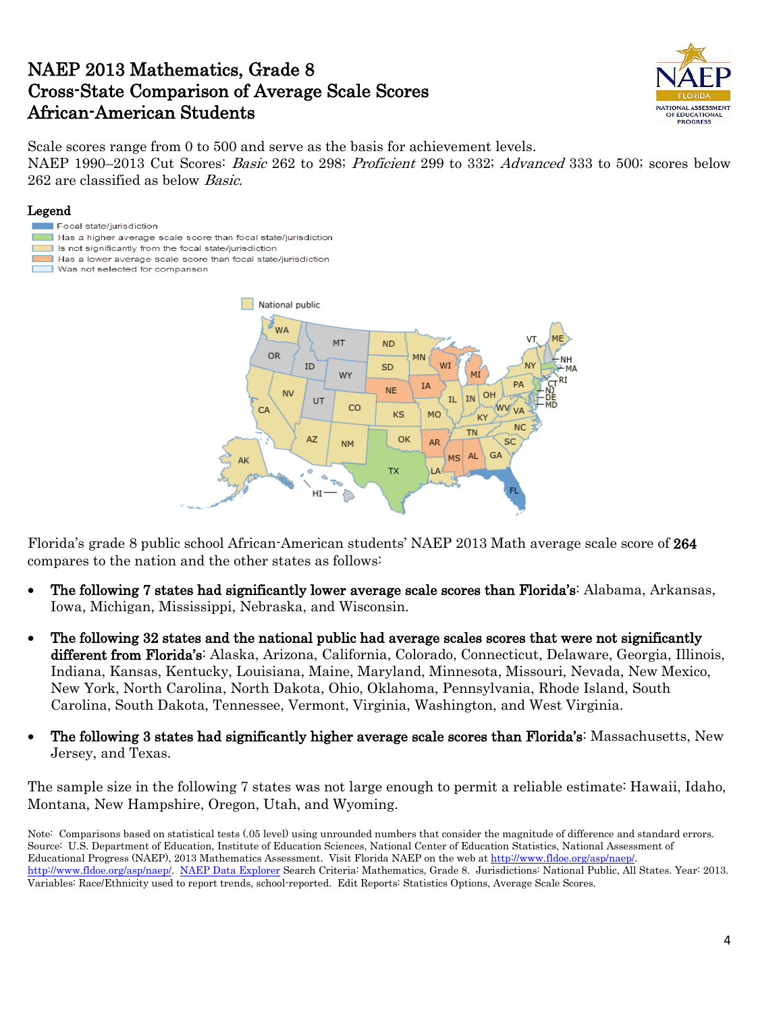### NAEP 2013 Mathematics, Grade 8 Cross-State Comparison of Average Scale Scores African-American Students



Scale scores range from 0 to 500 and serve as the basis for achievement levels. NAEP 1990–2013 Cut Scores: *Basic* 262 to 298; *Proficient* 299 to 332; *Advanced* 333 to 500; scores below 262 are classified as below Basic.

### Legend

- Focal state/jurisdiction
- Has a higher average scale score than focal state/jurisdiction
- Is not significantly from the focal state/jurisdiction
- Has a lower average scale score than focal state/jurisdiction
- Was not selected for comparison



Florida's grade 8 public school African-American students' NAEP 2013 Math average scale score of 264 compares to the nation and the other states as follows:

- The following 7 states had significantly lower average scale scores than Florida's: Alabama, Arkansas, Iowa, Michigan, Mississippi, Nebraska, and Wisconsin.
- The following 32 states and the national public had average scales scores that were not significantly different from Florida's: Alaska, Arizona, California, Colorado, Connecticut, Delaware, Georgia, Illinois, Indiana, Kansas, Kentucky, Louisiana, Maine, Maryland, Minnesota, Missouri, Nevada, New Mexico, New York, North Carolina, North Dakota, Ohio, Oklahoma, Pennsylvania, Rhode Island, South Carolina, South Dakota, Tennessee, Vermont, Virginia, Washington, and West Virginia.
- The following 3 states had significantly higher average scale scores than Florida's: Massachusetts, New Jersey, and Texas.

The sample size in the following 7 states was not large enough to permit a reliable estimate: Hawaii, Idaho, Montana, New Hampshire, Oregon, Utah, and Wyoming.

Note: Comparisons based on statistical tests (.05 level) using unrounded numbers that consider the magnitude of difference and standard errors. Source: U.S. Department of Education, Institute of Education Sciences, National Center of Education Statistics, National Assessment of Educational Progress (NAEP), 2013 Mathematics Assessment. Visit Florida NAEP on the web at [http://www.fldoe.org/asp/naep/.](http://www.fldoe.org/asp/naep/)  [http://www.fldoe.org/asp/naep/.](http://www.fldoe.org/asp/naep/) [NAEP Data Explorer](http://nces.ed.gov/nationsreportcard/naepdata/) Search Criteria: Mathematics, Grade 8. Jurisdictions: National Public, All States. Year: 2013. Variables: Race/Ethnicity used to report trends, school-reported. Edit Reports: Statistics Options, Average Scale Scores.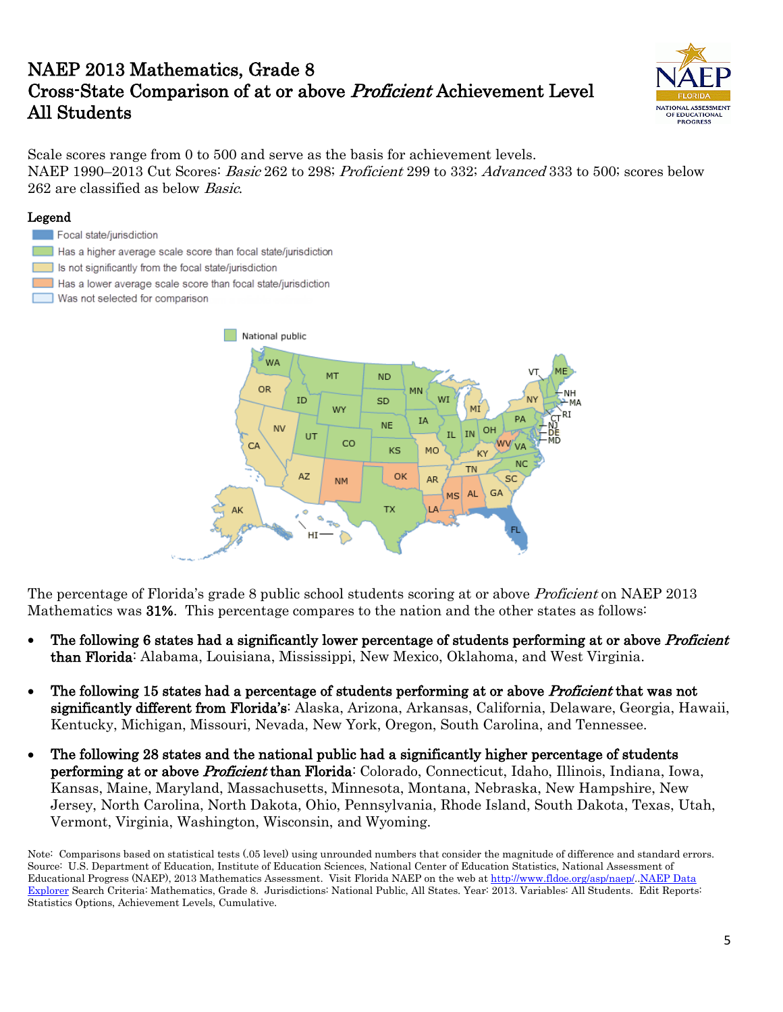# NAEP 2013 Mathematics, Grade 8 Cross-State Comparison of at or above Proficient Achievement Level All Students



Scale scores range from 0 to 500 and serve as the basis for achievement levels. NAEP 1990–2013 Cut Scores: *Basic* 262 to 298; *Proficient* 299 to 332; *Advanced* 333 to 500; scores below 262 are classified as below Basic.

#### Legend



- Has a higher average scale score than focal state/jurisdiction
- Is not significantly from the focal state/jurisdiction
- Has a lower average scale score than focal state/jurisdiction
- Was not selected for comparison



The percentage of Florida's grade 8 public school students scoring at or above *Proficient* on NAEP 2013 Mathematics was 31%. This percentage compares to the nation and the other states as follows:

- The following 6 states had a significantly lower percentage of students performing at or above *Proficient* than Florida: Alabama, Louisiana, Mississippi, New Mexico, Oklahoma, and West Virginia.
- The following 15 states had a percentage of students performing at or above *Proficient* that was not significantly different from Florida's: Alaska, Arizona, Arkansas, California, Delaware, Georgia, Hawaii, Kentucky, Michigan, Missouri, Nevada, New York, Oregon, South Carolina, and Tennessee.
- The following 28 states and the national public had a significantly higher percentage of students performing at or above Proficient than Florida: Colorado, Connecticut, Idaho, Illinois, Indiana, Iowa, Kansas, Maine, Maryland, Massachusetts, Minnesota, Montana, Nebraska, New Hampshire, New Jersey, North Carolina, North Dakota, Ohio, Pennsylvania, Rhode Island, South Dakota, Texas, Utah, Vermont, Virginia, Washington, Wisconsin, and Wyoming.

Note: Comparisons based on statistical tests (.05 level) using unrounded numbers that consider the magnitude of difference and standard errors. Source: U.S. Department of Education, Institute of Education Sciences, National Center of Education Statistics, National Assessment of Educational Progress (NAEP), 2013 Mathematics Assessment. Visit Florida NAEP on the web at [http://www.fldoe.org/asp/naep/.](http://www.fldoe.org/asp/naep/).NAEP Data [Explorer](http://nces.ed.gov/nationsreportcard/naepdata/) Search Criteria: Mathematics, Grade 8. Jurisdictions: National Public, All States. Year: 2013. Variables: All Students. Edit Reports: Statistics Options, Achievement Levels, Cumulative.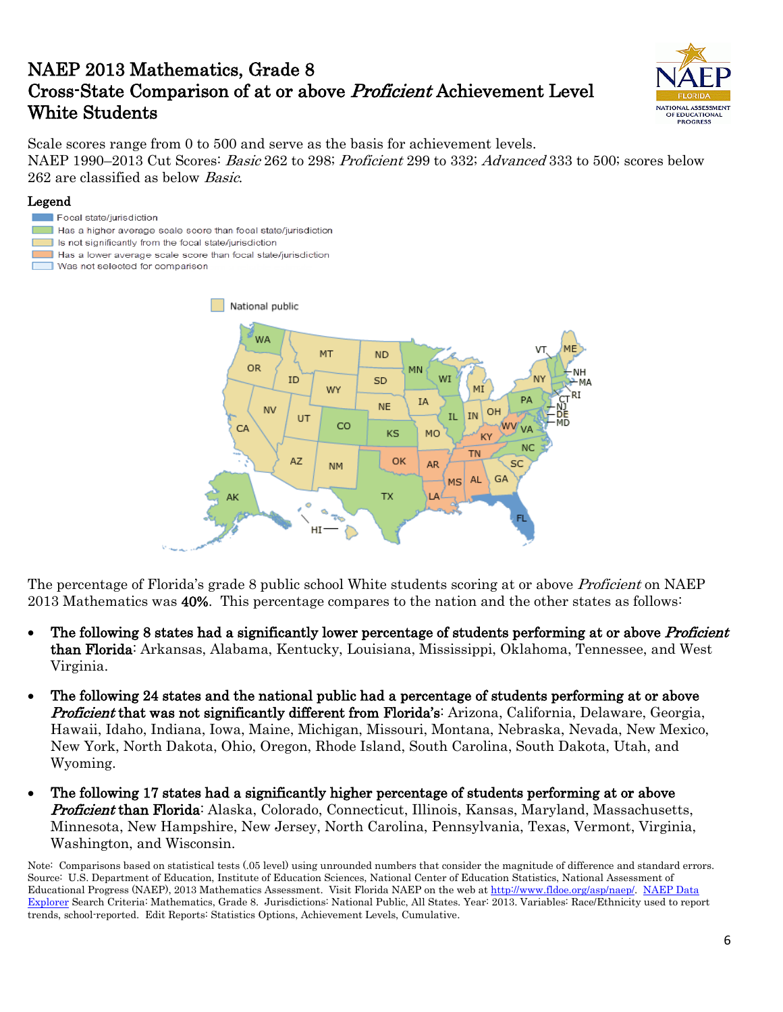# NAEP 2013 Mathematics, Grade 8 Cross-State Comparison of at or above Proficient Achievement Level White Students



Scale scores range from 0 to 500 and serve as the basis for achievement levels. NAEP 1990–2013 Cut Scores: *Basic* 262 to 298; *Proficient* 299 to 332; *Advanced* 333 to 500; scores below 262 are classified as below Basic.

### Legend

- Focal state/jurisdiction
- Has a higher average scale score than focal state/jurisdiction
- Is not significantly from the focal state/jurisdiction
- Has a lower average scale score than focal state/jurisdiction
- Was not selected for comparison



The percentage of Florida's grade 8 public school White students scoring at or above *Proficient* on NAEP 2013 Mathematics was 40%. This percentage compares to the nation and the other states as follows:

- The following 8 states had a significantly lower percentage of students performing at or above *Proficient* than Florida: Arkansas, Alabama, Kentucky, Louisiana, Mississippi, Oklahoma, Tennessee, and West Virginia.
- The following 24 states and the national public had a percentage of students performing at or above **Proficient that was not significantly different from Florida's:** Arizona, California, Delaware, Georgia, Hawaii, Idaho, Indiana, Iowa, Maine, Michigan, Missouri, Montana, Nebraska, Nevada, New Mexico, New York, North Dakota, Ohio, Oregon, Rhode Island, South Carolina, South Dakota, Utah, and Wyoming.
- The following 17 states had a significantly higher percentage of students performing at or above **Proficient than Florida**: Alaska, Colorado, Connecticut, Illinois, Kansas, Maryland, Massachusetts, Minnesota, New Hampshire, New Jersey, North Carolina, Pennsylvania, Texas, Vermont, Virginia, Washington, and Wisconsin.

Note: Comparisons based on statistical tests (.05 level) using unrounded numbers that consider the magnitude of difference and standard errors. Source: U.S. Department of Education, Institute of Education Sciences, National Center of Education Statistics, National Assessment of Educational Progress (NAEP), 2013 Mathematics Assessment. Visit Florida NAEP on the web at [http://www.fldoe.org/asp/naep/.](http://www.fldoe.org/asp/naep/) [NAEP Data](http://nces.ed.gov/nationsreportcard/naepdata/)  [Explorer](http://nces.ed.gov/nationsreportcard/naepdata/) Search Criteria: Mathematics, Grade 8. Jurisdictions: National Public, All States. Year: 2013. Variables: Race/Ethnicity used to report trends, school-reported. Edit Reports: Statistics Options, Achievement Levels, Cumulative.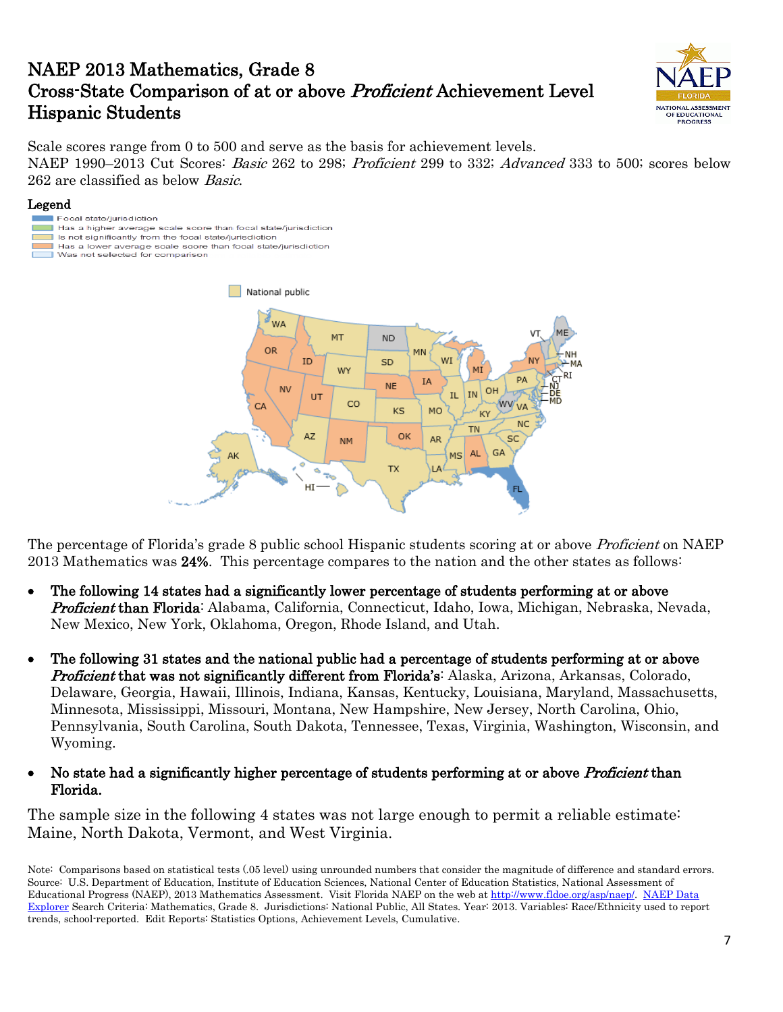# NAEP 2013 Mathematics, Grade 8 Cross-State Comparison of at or above Proficient Achievement Level Hispanic Students



Scale scores range from 0 to 500 and serve as the basis for achievement levels. NAEP 1990–2013 Cut Scores: *Basic* 262 to 298; *Proficient* 299 to 332; *Advanced* 333 to 500; scores below 262 are classified as below Basic.

### Legend

- Focal state/jurisdiction Has a higher average scale score than focal state/jurisdiction Is not significantly from the focal state/jurisdiction Has a lower average scale score than focal state/jurisdiction
- Was not selected for comparison



The percentage of Florida's grade 8 public school Hispanic students scoring at or above *Proficient* on NAEP 2013 Mathematics was 24%. This percentage compares to the nation and the other states as follows:

- The following 14 states had a significantly lower percentage of students performing at or above **Proficient than Florida**: Alabama, California, Connecticut, Idaho, Iowa, Michigan, Nebraska, Nevada, New Mexico, New York, Oklahoma, Oregon, Rhode Island, and Utah.
- The following 31 states and the national public had a percentage of students performing at or above **Proficient that was not significantly different from Florida's:** Alaska, Arizona, Arkansas, Colorado, Delaware, Georgia, Hawaii, Illinois, Indiana, Kansas, Kentucky, Louisiana, Maryland, Massachusetts, Minnesota, Mississippi, Missouri, Montana, New Hampshire, New Jersey, North Carolina, Ohio, Pennsylvania, South Carolina, South Dakota, Tennessee, Texas, Virginia, Washington, Wisconsin, and Wyoming.
- No state had a significantly higher percentage of students performing at or above *Proficient* than Florida.

The sample size in the following 4 states was not large enough to permit a reliable estimate: Maine, North Dakota, Vermont, and West Virginia.

Note: Comparisons based on statistical tests (.05 level) using unrounded numbers that consider the magnitude of difference and standard errors. Source: U.S. Department of Education, Institute of Education Sciences, National Center of Education Statistics, National Assessment of Educational Progress (NAEP), 2013 Mathematics Assessment. Visit Florida NAEP on the web at [http://www.fldoe.org/asp/naep/.](http://www.fldoe.org/asp/naep/) [NAEP Data](http://nces.ed.gov/nationsreportcard/naepdata/)  [Explorer](http://nces.ed.gov/nationsreportcard/naepdata/) Search Criteria: Mathematics, Grade 8. Jurisdictions: National Public, All States. Year: 2013. Variables: Race/Ethnicity used to report trends, school-reported. Edit Reports: Statistics Options, Achievement Levels, Cumulative.